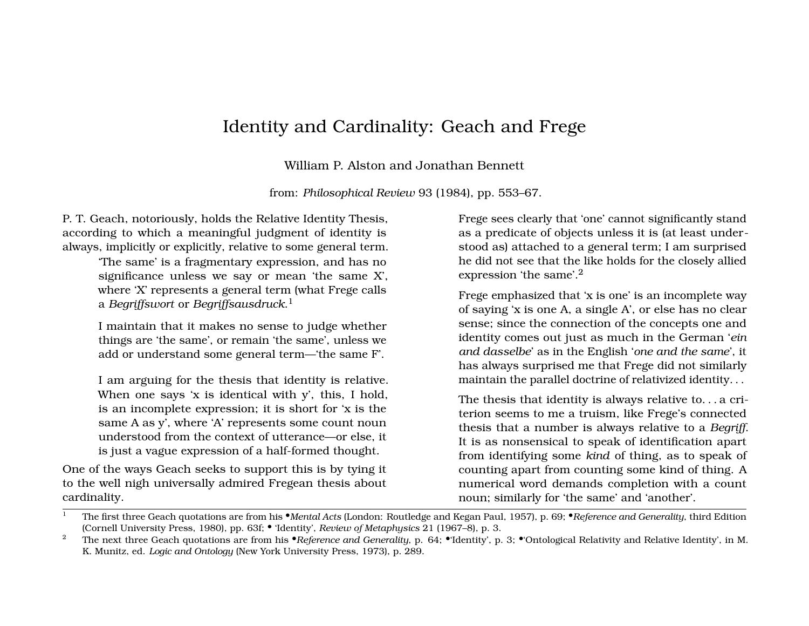# Identity and Cardinality: Geach and Frege

William P. Alston and Jonathan Bennett

from: *Philosophical Review* 93 (1984), pp. 553–67.

P. T. Geach, notoriously, holds the Relative Identity Thesis, according to which a meaningful judgment of identity is always, implicitly or explicitly, relative to some general term.

> 'The same' is a fragmentary expression, and has no significance unless we say or mean 'the same X', where 'X' represents a general term (what Frege calls a *Begriffswort* or *Begriffsausdruck*. 1

> I maintain that it makes no sense to judge whether things are 'the same', or remain 'the same', unless we add or understand some general term—'the same F'.

> I am arguing for the thesis that identity is relative. When one says 'x is identical with y', this, I hold, is an incomplete expression; it is short for 'x is the same A as y', where 'A' represents some count noun understood from the context of utterance—or else, it is just a vague expression of a half-formed thought.

One of the ways Geach seeks to support this is by tying it to the well nigh universally admired Fregean thesis about cardinality.

Frege sees clearly that 'one' cannot significantly stand as a predicate of objects unless it is (at least understood as) attached to a general term; I am surprised he did not see that the like holds for the closely allied expression 'the same'.<sup>2</sup>

Frege emphasized that 'x is one' is an incomplete way of saying 'x is one A, a single A', or else has no clear sense; since the connection of the concepts one and identity comes out just as much in the German '*ein and dasselbe*' as in the English '*one and the same*', it has always surprised me that Frege did not similarly maintain the parallel doctrine of relativized identity. . .

The thesis that identity is always relative to. . . a criterion seems to me a truism, like Frege's connected thesis that a number is always relative to a *Begriff*. It is as nonsensical to speak of identification apart from identifying some *kind* of thing, as to speak of counting apart from counting some kind of thing. A numerical word demands completion with a count noun; similarly for 'the same' and 'another'.

<sup>&</sup>lt;sup>1</sup> The first three Geach quotations are from his *•Mental Acts* (London: Routledge and Kegan Paul, 1957), p. 69; *•Reference and Generality*, third Edition (Cornell University Press, 1980), pp. 63f; • 'Identity', *Review of Metaphysics* 21 (1967–8), p. 3.

<sup>&</sup>lt;sup>2</sup> The next three Geach quotations are from his *•Reference and Generality*, p. 64; •Identity', p. 3; •Ontological Relativity and Relative Identity', in M. K. Munitz, ed. *Logic and Ontology* (New York University Press, 1973), p. 289.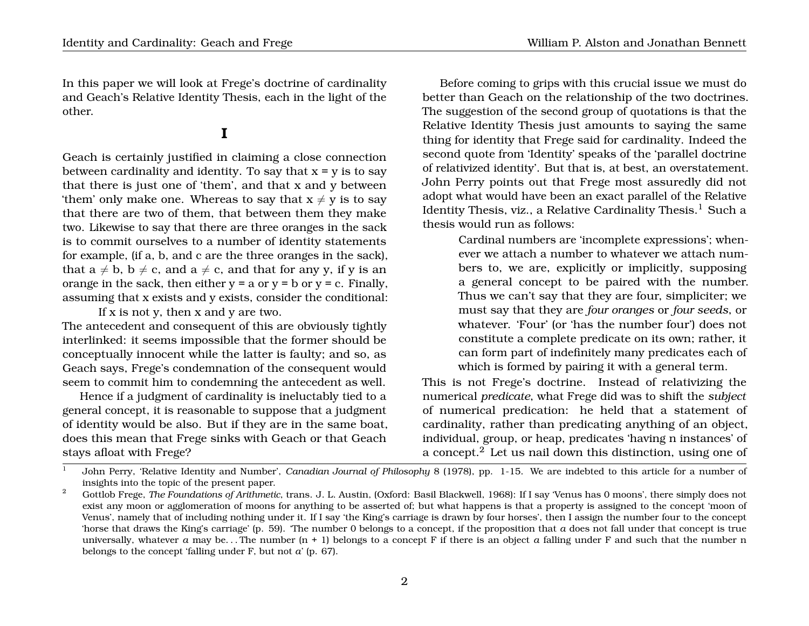In this paper we will look at Frege's doctrine of cardinality and Geach's Relative Identity Thesis, each in the light of the other.

# **I**

Geach is certainly justified in claiming a close connection between cardinality and identity. To say that  $x = y$  is to say that there is just one of 'them', and that x and y between 'them' only make one. Whereas to say that  $x \neq y$  is to say that there are two of them, that between them they make two. Likewise to say that there are three oranges in the sack is to commit ourselves to a number of identity statements for example, (if a, b, and c are the three oranges in the sack), that  $a \neq b$ ,  $b \neq c$ , and  $a \neq c$ , and that for any y, if y is an orange in the sack, then either  $y = a$  or  $y = b$  or  $y = c$ . Finally, assuming that x exists and y exists, consider the conditional:

If x is not y, then x and y are two.

The antecedent and consequent of this are obviously tightly interlinked: it seems impossible that the former should be conceptually innocent while the latter is faulty; and so, as Geach says, Frege's condemnation of the consequent would seem to commit him to condemning the antecedent as well.

Hence if a judgment of cardinality is ineluctably tied to a general concept, it is reasonable to suppose that a judgment of identity would be also. But if they are in the same boat, does this mean that Frege sinks with Geach or that Geach stays afloat with Frege?

Before coming to grips with this crucial issue we must do better than Geach on the relationship of the two doctrines. The suggestion of the second group of quotations is that the Relative Identity Thesis just amounts to saying the same thing for identity that Frege said for cardinality. Indeed the second quote from 'Identity' speaks of the 'parallel doctrine of relativized identity'. But that is, at best, an overstatement. John Perry points out that Frege most assuredly did not adopt what would have been an exact parallel of the Relative Identity Thesis, viz., a Relative Cardinality Thesis.<sup>1</sup> Such a thesis would run as follows:

> Cardinal numbers are 'incomplete expressions'; whenever we attach a number to whatever we attach numbers to, we are, explicitly or implicitly, supposing a general concept to be paired with the number. Thus we can't say that they are four, simpliciter; we must say that they are *four oranges* or *four seeds*, or whatever. 'Four' (or 'has the number four') does not constitute a complete predicate on its own; rather, it can form part of indefinitely many predicates each of which is formed by pairing it with a general term.

This is not Frege's doctrine. Instead of relativizing the numerical *predicate*, what Frege did was to shift the *subject* of numerical predication: he held that a statement of cardinality, rather than predicating anything of an object, individual, group, or heap, predicates 'having n instances' of a concept.<sup>2</sup> Let us nail down this distinction, using one of

<sup>1</sup> John Perry, 'Relative Identity and Number', *Canadian Journal of Philosophy* 8 (1978), pp. 1-15. We are indebted to this article for a number of insights into the topic of the present paper.

<sup>2</sup> Gottlob Frege, *The Foundations of Arithmetic*, trans. J. L. Austin, (Oxford: Basil Blackwell, 1968): If I say 'Venus has 0 moons', there simply does not exist any moon or agglomeration of moons for anything to be asserted of; but what happens is that a property is assigned to the concept 'moon of Venus', namely that of including nothing under it. If I say 'the King's carriage is drawn by four horses', then I assign the number four to the concept 'horse that draws the King's carriage' (p. 59). 'The number 0 belongs to a concept, if the proposition that *a* does not fall under that concept is true universally, whatever *a* may be. . . The number (n + 1) belongs to a concept F if there is an object *a* falling under F and such that the number n belongs to the concept 'falling under F, but not *a*' (p. 67).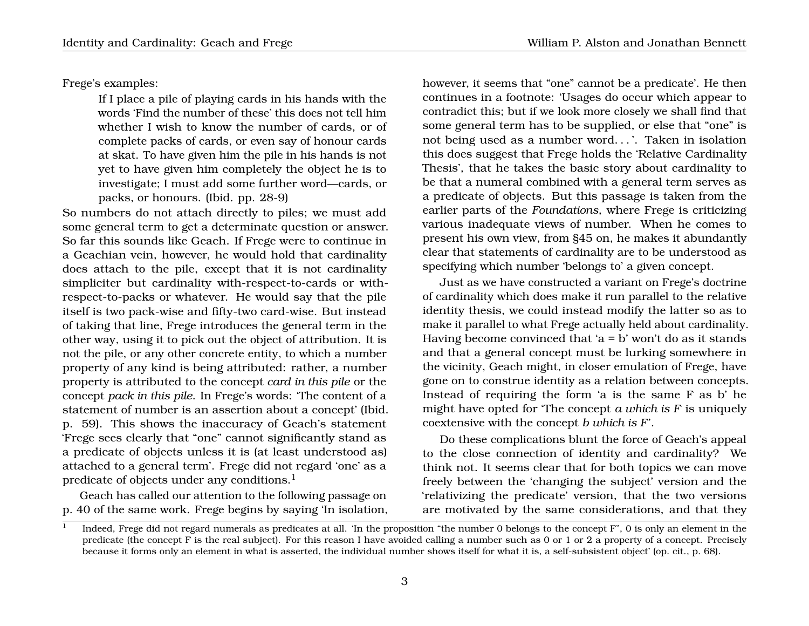Frege's examples:

If I place a pile of playing cards in his hands with the words 'Find the number of these' this does not tell him whether I wish to know the number of cards, or of complete packs of cards, or even say of honour cards at skat. To have given him the pile in his hands is not yet to have given him completely the object he is to investigate; I must add some further word—cards, or packs, or honours. (Ibid. pp. 28-9)

So numbers do not attach directly to piles; we must add some general term to get a determinate question or answer. So far this sounds like Geach. If Frege were to continue in a Geachian vein, however, he would hold that cardinality does attach to the pile, except that it is not cardinality simpliciter but cardinality with-respect-to-cards or withrespect-to-packs or whatever. He would say that the pile itself is two pack-wise and fifty-two card-wise. But instead of taking that line, Frege introduces the general term in the other way, using it to pick out the object of attribution. It is not the pile, or any other concrete entity, to which a number property of any kind is being attributed: rather, a number property is attributed to the concept *card in this pile* or the concept *pack in this pile*. In Frege's words: 'The content of a statement of number is an assertion about a concept' (Ibid. p. 59). This shows the inaccuracy of Geach's statement 'Frege sees clearly that "one" cannot significantly stand as a predicate of objects unless it is (at least understood as) attached to a general term'. Frege did not regard 'one' as a predicate of objects under any conditions.<sup>1</sup>

Geach has called our attention to the following passage on p. 40 of the same work. Frege begins by saying 'In isolation, however, it seems that "one" cannot be a predicate'. He then continues in a footnote: 'Usages do occur which appear to contradict this; but if we look more closely we shall find that some general term has to be supplied, or else that "one" is not being used as a number word. . . '. Taken in isolation this does suggest that Frege holds the 'Relative Cardinality Thesis', that he takes the basic story about cardinality to be that a numeral combined with a general term serves as a predicate of objects. But this passage is taken from the earlier parts of the *Foundations*, where Frege is criticizing various inadequate views of number. When he comes to present his own view, from §45 on, he makes it abundantly clear that statements of cardinality are to be understood as specifying which number 'belongs to' a given concept.

Just as we have constructed a variant on Frege's doctrine of cardinality which does make it run parallel to the relative identity thesis, we could instead modify the latter so as to make it parallel to what Frege actually held about cardinality. Having become convinced that 'a = b' won't do as it stands and that a general concept must be lurking somewhere in the vicinity, Geach might, in closer emulation of Frege, have gone on to construe identity as a relation between concepts. Instead of requiring the form 'a is the same F as b' he might have opted for 'The concept *a which is F* is uniquely coextensive with the concept *b which is F*'.

Do these complications blunt the force of Geach's appeal to the close connection of identity and cardinality? We think not. It seems clear that for both topics we can move freely between the 'changing the subject' version and the 'relativizing the predicate' version, that the two versions are motivated by the same considerations, and that they

<sup>1</sup> Indeed, Frege did not regard numerals as predicates at all. 'In the proposition "the number 0 belongs to the concept F", 0 is only an element in the predicate (the concept F is the real subject). For this reason I have avoided calling a number such as 0 or 1 or 2 a property of a concept. Precisely because it forms only an element in what is asserted, the individual number shows itself for what it is, a self-subsistent object' (op. cit., p. 68).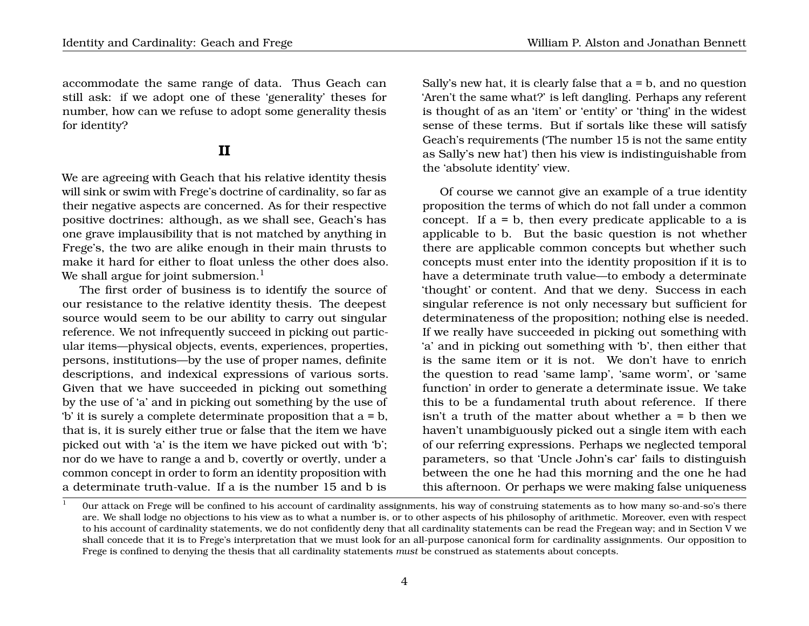accommodate the same range of data. Thus Geach can still ask: if we adopt one of these 'generality' theses for number, how can we refuse to adopt some generality thesis for identity?

# **II**

We are agreeing with Geach that his relative identity thesis will sink or swim with Frege's doctrine of cardinality, so far as their negative aspects are concerned. As for their respective positive doctrines: although, as we shall see, Geach's has one grave implausibility that is not matched by anything in Frege's, the two are alike enough in their main thrusts to make it hard for either to float unless the other does also. We shall argue for joint submersion.<sup>1</sup>

The first order of business is to identify the source of our resistance to the relative identity thesis. The deepest source would seem to be our ability to carry out singular reference. We not infrequently succeed in picking out particular items—physical objects, events, experiences, properties, persons, institutions—by the use of proper names, definite descriptions, and indexical expressions of various sorts. Given that we have succeeded in picking out something by the use of 'a' and in picking out something by the use of 'b' it is surely a complete determinate proposition that a = b, that is, it is surely either true or false that the item we have picked out with 'a' is the item we have picked out with 'b'; nor do we have to range a and b, covertly or overtly, under a common concept in order to form an identity proposition with a determinate truth-value. If a is the number 15 and b is

Sally's new hat, it is clearly false that  $a = b$ , and no question 'Aren't the same what?' is left dangling. Perhaps any referent is thought of as an 'item' or 'entity' or 'thing' in the widest sense of these terms. But if sortals like these will satisfy Geach's requirements ('The number 15 is not the same entity as Sally's new hat') then his view is indistinguishable from the 'absolute identity' view.

Of course we cannot give an example of a true identity proposition the terms of which do not fall under a common concept. If a = b, then every predicate applicable to a is applicable to b. But the basic question is not whether there are applicable common concepts but whether such concepts must enter into the identity proposition if it is to have a determinate truth value—to embody a determinate 'thought' or content. And that we deny. Success in each singular reference is not only necessary but sufficient for determinateness of the proposition; nothing else is needed. If we really have succeeded in picking out something with 'a' and in picking out something with 'b', then either that is the same item or it is not. We don't have to enrich the question to read 'same lamp', 'same worm', or 'same function' in order to generate a determinate issue. We take this to be a fundamental truth about reference. If there isn't a truth of the matter about whether a = b then we haven't unambiguously picked out a single item with each of our referring expressions. Perhaps we neglected temporal parameters, so that 'Uncle John's car' fails to distinguish between the one he had this morning and the one he had this afternoon. Or perhaps we were making false uniqueness

 $1$  0ur attack on Frege will be confined to his account of cardinality assignments, his way of construing statements as to how many so-and-so's there are. We shall lodge no objections to his view as to what a number is, or to other aspects of his philosophy of arithmetic. Moreover, even with respect to his account of cardinality statements, we do not confidently deny that all cardinality statements can be read the Fregean way; and in Section V we shall concede that it is to Frege's interpretation that we must look for an all-purpose canonical form for cardinality assignments. Our opposition to Frege is confined to denying the thesis that all cardinality statements *must* be construed as statements about concepts.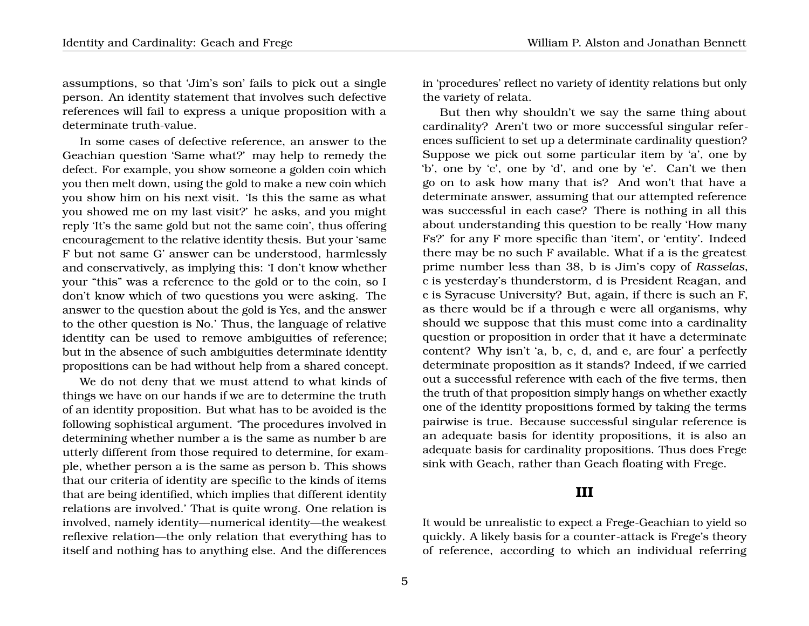assumptions, so that 'Jim's son' fails to pick out a single person. An identity statement that involves such defective references will fail to express a unique proposition with a determinate truth-value.

In some cases of defective reference, an answer to the Geachian question 'Same what?' may help to remedy the defect. For example, you show someone a golden coin which you then melt down, using the gold to make a new coin which you show him on his next visit. 'Is this the same as what you showed me on my last visit?' he asks, and you might reply 'It's the same gold but not the same coin', thus offering encouragement to the relative identity thesis. But your 'same F but not same G' answer can be understood, harmlessly and conservatively, as implying this: 'I don't know whether your "this" was a reference to the gold or to the coin, so I don't know which of two questions you were asking. The answer to the question about the gold is Yes, and the answer to the other question is No.' Thus, the language of relative identity can be used to remove ambiguities of reference; but in the absence of such ambiguities determinate identity propositions can be had without help from a shared concept.

We do not deny that we must attend to what kinds of things we have on our hands if we are to determine the truth of an identity proposition. But what has to be avoided is the following sophistical argument. 'The procedures involved in determining whether number a is the same as number b are utterly different from those required to determine, for example, whether person a is the same as person b. This shows that our criteria of identity are specific to the kinds of items that are being identified, which implies that different identity relations are involved.' That is quite wrong. One relation is involved, namely identity—numerical identity—the weakest reflexive relation—the only relation that everything has to itself and nothing has to anything else. And the differences

in 'procedures' reflect no variety of identity relations but only the variety of relata.

But then why shouldn't we say the same thing about cardinality? Aren't two or more successful singular references sufficient to set up a determinate cardinality question? Suppose we pick out some particular item by 'a', one by 'b', one by 'c', one by 'd', and one by 'e'. Can't we then go on to ask how many that is? And won't that have a determinate answer, assuming that our attempted reference was successful in each case? There is nothing in all this about understanding this question to be really 'How many Fs?' for any F more specific than 'item', or 'entity'. Indeed there may be no such F available. What if a is the greatest prime number less than 38, b is Jim's copy of *Rasselas*, c is yesterday's thunderstorm, d is President Reagan, and e is Syracuse University? But, again, if there is such an F, as there would be if a through e were all organisms, why should we suppose that this must come into a cardinality question or proposition in order that it have a determinate content? Why isn't 'a, b, c, d, and e, are four' a perfectly determinate proposition as it stands? Indeed, if we carried out a successful reference with each of the five terms, then the truth of that proposition simply hangs on whether exactly one of the identity propositions formed by taking the terms pairwise is true. Because successful singular reference is an adequate basis for identity propositions, it is also an adequate basis for cardinality propositions. Thus does Frege sink with Geach, rather than Geach floating with Frege.

### **III**

It would be unrealistic to expect a Frege-Geachian to yield so quickly. A likely basis for a counter-attack is Frege's theory of reference, according to which an individual referring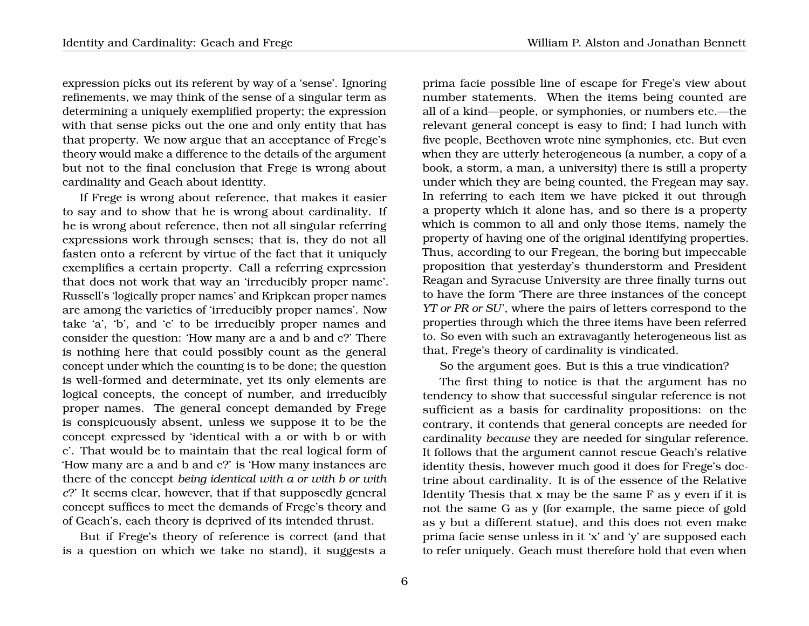expression picks out its referent by way of a 'sense'. Ignoring refinements, we may think of the sense of a singular term as determining a uniquely exemplified property; the expression with that sense picks out the one and only entity that has that property. We now argue that an acceptance of Frege's theory would make a difference to the details of the argument but not to the final conclusion that Frege is wrong about cardinality and Geach about identity.

If Frege is wrong about reference, that makes it easier to say and to show that he is wrong about cardinality. If he is wrong about reference, then not all singular referring expressions work through senses; that is, they do not all fasten onto a referent by virtue of the fact that it uniquely exemplifies a certain property. Call a referring expression that does not work that way an 'irreducibly proper name'. Russell's 'logically proper names' and Kripkean proper names are among the varieties of 'irreducibly proper names'. Now take 'a', 'b', and 'c' to be irreducibly proper names and consider the question: 'How many are a and b and c?' There is nothing here that could possibly count as the general concept under which the counting is to be done; the question is well-formed and determinate, yet its only elements are logical concepts, the concept of number, and irreducibly proper names. The general concept demanded by Frege is conspicuously absent, unless we suppose it to be the concept expressed by 'identical with a or with b or with c'. That would be to maintain that the real logical form of 'How many are a and b and c?' is 'How many instances are there of the concept *being identical with a or with b or with c*?' It seems clear, however, that if that supposedly general concept suffices to meet the demands of Frege's theory and of Geach's, each theory is deprived of its intended thrust.

But if Frege's theory of reference is correct (and that is a question on which we take no stand), it suggests a

prima facie possible line of escape for Frege's view about number statements. When the items being counted are all of a kind—people, or symphonies, or numbers etc.—the relevant general concept is easy to find; I had lunch with five people, Beethoven wrote nine symphonies, etc. But even when they are utterly heterogeneous (a number, a copy of a book, a storm, a man, a university) there is still a property under which they are being counted, the Fregean may say. In referring to each item we have picked it out through a property which it alone has, and so there is a property which is common to all and only those items, namely the property of having one of the original identifying properties. Thus, according to our Fregean, the boring but impeccable proposition that yesterday's thunderstorm and President Reagan and Syracuse University are three finally turns out to have the form 'There are three instances of the concept *YT or PR or SU*', where the pairs of letters correspond to the properties through which the three items have been referred to. So even with such an extravagantly heterogeneous list as that, Frege's theory of cardinality is vindicated.

#### So the argument goes. But is this a true vindication?

The first thing to notice is that the argument has no tendency to show that successful singular reference is not sufficient as a basis for cardinality propositions: on the contrary, it contends that general concepts are needed for cardinality *because* they are needed for singular reference. It follows that the argument cannot rescue Geach's relative identity thesis, however much good it does for Frege's doctrine about cardinality. It is of the essence of the Relative Identity Thesis that x may be the same F as y even if it is not the same G as y (for example, the same piece of gold as y but a different statue), and this does not even make prima facie sense unless in it 'x' and 'y' are supposed each to refer uniquely. Geach must therefore hold that even when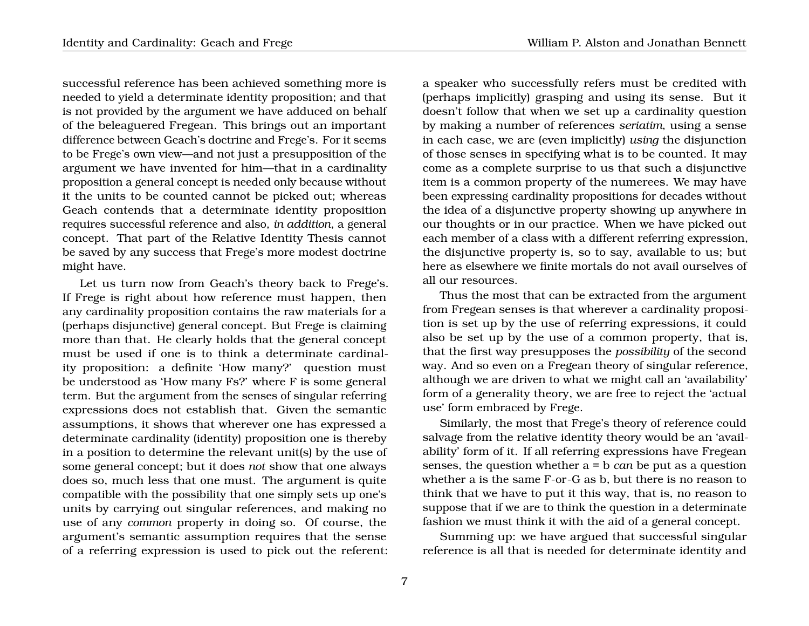successful reference has been achieved something more is needed to yield a determinate identity proposition; and that is not provided by the argument we have adduced on behalf of the beleaguered Fregean. This brings out an important difference between Geach's doctrine and Frege's. For it seems to be Frege's own view—and not just a presupposition of the argument we have invented for him—that in a cardinality proposition a general concept is needed only because without it the units to be counted cannot be picked out; whereas Geach contends that a determinate identity proposition requires successful reference and also, *in addition*, a general concept. That part of the Relative Identity Thesis cannot be saved by any success that Frege's more modest doctrine might have.

Let us turn now from Geach's theory back to Frege's. If Frege is right about how reference must happen, then any cardinality proposition contains the raw materials for a (perhaps disjunctive) general concept. But Frege is claiming more than that. He clearly holds that the general concept must be used if one is to think a determinate cardinality proposition: a definite 'How many?' question must be understood as 'How many Fs?' where F is some general term. But the argument from the senses of singular referring expressions does not establish that. Given the semantic assumptions, it shows that wherever one has expressed a determinate cardinality (identity) proposition one is thereby in a position to determine the relevant unit(s) by the use of some general concept; but it does *not* show that one always does so, much less that one must. The argument is quite compatible with the possibility that one simply sets up one's units by carrying out singular references, and making no use of any *common* property in doing so. Of course, the argument's semantic assumption requires that the sense of a referring expression is used to pick out the referent:

a speaker who successfully refers must be credited with (perhaps implicitly) grasping and using its sense. But it doesn't follow that when we set up a cardinality question by making a number of references *seriatim*, using a sense in each case, we are (even implicitly) *using* the disjunction of those senses in specifying what is to be counted. It may come as a complete surprise to us that such a disjunctive item is a common property of the numerees. We may have been expressing cardinality propositions for decades without the idea of a disjunctive property showing up anywhere in our thoughts or in our practice. When we have picked out each member of a class with a different referring expression, the disjunctive property is, so to say, available to us; but here as elsewhere we finite mortals do not avail ourselves of all our resources.

Thus the most that can be extracted from the argument from Fregean senses is that wherever a cardinality proposition is set up by the use of referring expressions, it could also be set up by the use of a common property, that is, that the first way presupposes the *possibility* of the second way. And so even on a Fregean theory of singular reference, although we are driven to what we might call an 'availability' form of a generality theory, we are free to reject the 'actual use' form embraced by Frege.

Similarly, the most that Frege's theory of reference could salvage from the relative identity theory would be an 'availability' form of it. If all referring expressions have Fregean senses, the question whether a = b *can* be put as a question whether a is the same F-or-G as b, but there is no reason to think that we have to put it this way, that is, no reason to suppose that if we are to think the question in a determinate fashion we must think it with the aid of a general concept.

Summing up: we have argued that successful singular reference is all that is needed for determinate identity and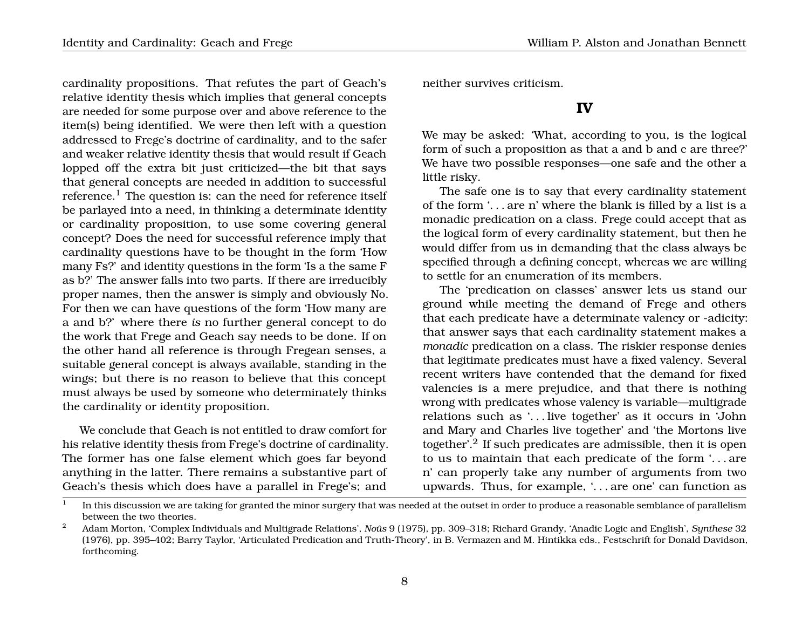cardinality propositions. That refutes the part of Geach's relative identity thesis which implies that general concepts are needed for some purpose over and above reference to the item(s) being identified. We were then left with a question addressed to Frege's doctrine of cardinality, and to the safer and weaker relative identity thesis that would result if Geach lopped off the extra bit just criticized—the bit that says that general concepts are needed in addition to successful reference.<sup>1</sup> The question is: can the need for reference itself be parlayed into a need, in thinking a determinate identity or cardinality proposition, to use some covering general concept? Does the need for successful reference imply that cardinality questions have to be thought in the form 'How many Fs?' and identity questions in the form 'Is a the same F as b?' The answer falls into two parts. If there are irreducibly proper names, then the answer is simply and obviously No. For then we can have questions of the form 'How many are a and b?' where there *is* no further general concept to do the work that Frege and Geach say needs to be done. If on the other hand all reference is through Fregean senses, a suitable general concept is always available, standing in the wings; but there is no reason to believe that this concept must always be used by someone who determinately thinks the cardinality or identity proposition.

We conclude that Geach is not entitled to draw comfort for his relative identity thesis from Frege's doctrine of cardinality. The former has one false element which goes far beyond anything in the latter. There remains a substantive part of Geach's thesis which does have a parallel in Frege's; and

neither survives criticism.

#### **IV**

We may be asked: 'What, according to you, is the logical form of such a proposition as that a and b and c are three?' We have two possible responses—one safe and the other a little risky.

The safe one is to say that every cardinality statement of the form '. . . are n' where the blank is filled by a list is a monadic predication on a class. Frege could accept that as the logical form of every cardinality statement, but then he would differ from us in demanding that the class always be specified through a defining concept, whereas we are willing to settle for an enumeration of its members.

The 'predication on classes' answer lets us stand our ground while meeting the demand of Frege and others that each predicate have a determinate valency or -adicity: that answer says that each cardinality statement makes a *monadic* predication on a class. The riskier response denies that legitimate predicates must have a fixed valency. Several recent writers have contended that the demand for fixed valencies is a mere prejudice, and that there is nothing wrong with predicates whose valency is variable—multigrade relations such as '... live together' as it occurs in 'John and Mary and Charles live together' and 'the Mortons live together'.<sup>2</sup> If such predicates are admissible, then it is open to us to maintain that each predicate of the form '. . . are n' can properly take any number of arguments from two upwards. Thus, for example, '. . . are one' can function as

<sup>1</sup> In this discussion we are taking for granted the minor surgery that was needed at the outset in order to produce a reasonable semblance of parallelism between the two theories.

<sup>2</sup> Adam Morton, 'Complex Individuals and Multigrade Relations', *Noûs* 9 (1975), pp. 309–318; Richard Grandy, 'Anadic Logic and English', *Synthese* 32 (1976), pp. 395–402; Barry Taylor, 'Articulated Predication and Truth-Theory', in B. Vermazen and M. Hintikka eds., Festschrift for Donald Davidson, forthcoming.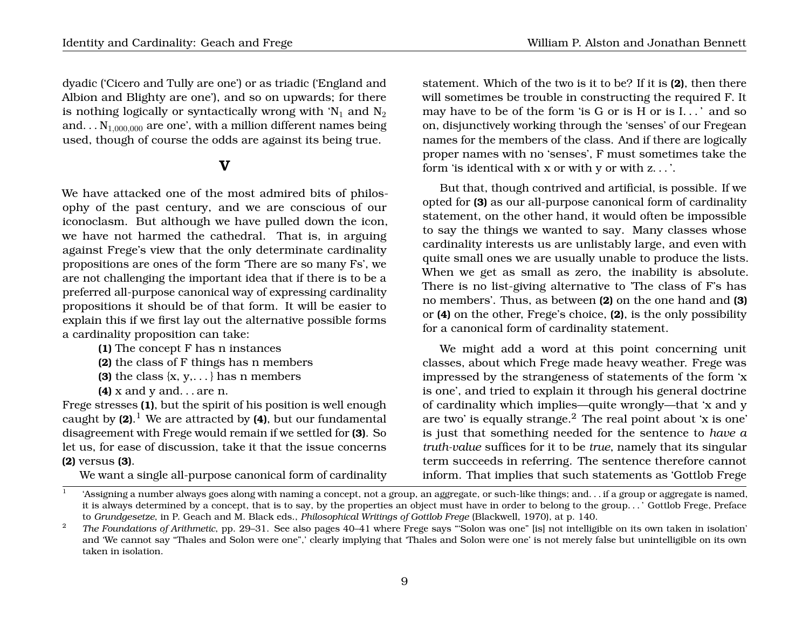dyadic ('Cicero and Tully are one') or as triadic ('England and Albion and Blighty are one'), and so on upwards; for there is nothing logically or syntactically wrong with  $N_1$  and  $N_2$ and...  $N_{1,000,000}$  are one', with a million different names being used, though of course the odds are against its being true.

## **V**

We have attacked one of the most admired bits of philosophy of the past century, and we are conscious of our iconoclasm. But although we have pulled down the icon, we have not harmed the cathedral. That is, in arguing against Frege's view that the only determinate cardinality propositions are ones of the form 'There are so many Fs', we are not challenging the important idea that if there is to be a preferred all-purpose canonical way of expressing cardinality propositions it should be of that form. It will be easier to explain this if we first lay out the alternative possible forms a cardinality proposition can take:

**(1)** The concept F has n instances

**(2)** the class of F things has n members

**(3)** the class  $\{x, y, \ldots\}$  has n members

**(4)** x and y and. . . are n.

1

Frege stresses **(1)**, but the spirit of his position is well enough caught by **(2)**. <sup>1</sup> We are attracted by **(4)**, but our fundamental disagreement with Frege would remain if we settled for **(3)**. So let us, for ease of discussion, take it that the issue concerns **(2)** versus **(3)**.

We want a single all-purpose canonical form of cardinality

statement. Which of the two is it to be? If it is **(2)**, then there will sometimes be trouble in constructing the required F. It may have to be of the form 'is G or is H or is I. . . ' and so on, disjunctively working through the 'senses' of our Fregean names for the members of the class. And if there are logically proper names with no 'senses', F must sometimes take the form 'is identical with x or with y or with z. . . '.

But that, though contrived and artificial, is possible. If we opted for **(3)** as our all-purpose canonical form of cardinality statement, on the other hand, it would often be impossible to say the things we wanted to say. Many classes whose cardinality interests us are unlistably large, and even with quite small ones we are usually unable to produce the lists. When we get as small as zero, the inability is absolute. There is no list-giving alternative to 'The class of F's has no members'. Thus, as between **(2)** on the one hand and **(3)** or **(4)** on the other, Frege's choice, **(2)**, is the only possibility for a canonical form of cardinality statement.

We might add a word at this point concerning unit classes, about which Frege made heavy weather. Frege was impressed by the strangeness of statements of the form 'x is one', and tried to explain it through his general doctrine of cardinality which implies—quite wrongly—that 'x and y are two' is equally strange.<sup>2</sup> The real point about 'x is one' is just that something needed for the sentence to *have a truth-value* suffices for it to be *true*, namely that its singular term succeeds in referring. The sentence therefore cannot inform. That implies that such statements as 'Gottlob Frege

<sup>&#</sup>x27;Assigning a number always goes along with naming a concept, not a group, an aggregate, or such-like things; and. . . if a group or aggregate is named, it is always determined by a concept, that is to say, by the properties an object must have in order to belong to the group. . . ' Gottlob Frege, Preface to *Grundgesetze*, in P. Geach and M. Black eds., *Philosophical Writings of Gottlob Frege* (Blackwell, 1970), at p. 140.

<sup>&</sup>lt;sup>2</sup> The Foundations of Arithmetic, pp. 29–31. See also pages 40–41 where Frege says "Solon was one" [is] not intelligible on its own taken in isolation' and 'We cannot say "Thales and Solon were one",' clearly implying that 'Thales and Solon were one' is not merely false but unintelligible on its own taken in isolation.